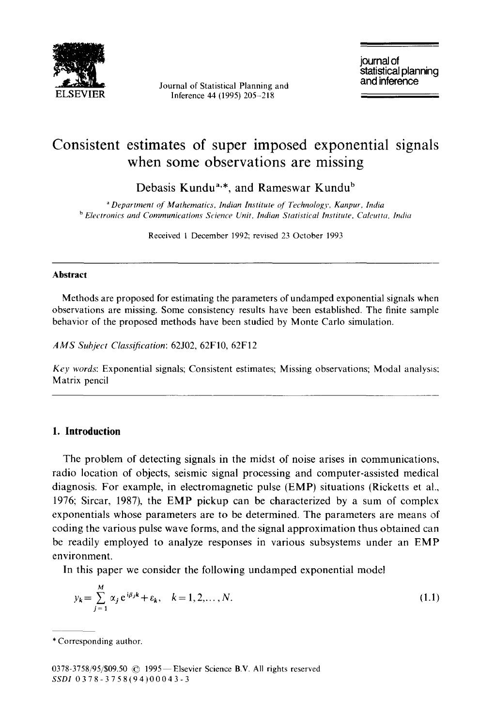

Journal of Statistical Planning and Inference 44 (1995) 205-218

journal of statistical planning<br>and inference

# **Consistent estimates of super imposed exponential signals when some observations are missing**

Debasis Kundu<sup>a,\*</sup>, and Rameswar Kundu<sup>b</sup>

*" Department of Mathematics, Indian Institute q[ Technology, Kanpur, India b Electronics and Communications Science Unit, Indian Statistical Institute. Calcutta. India* 

Received 1 December 1992; revised 23 October 1993

#### **Abstract**

Methods are proposed for estimating the parameters of undamped exponential signals when observations are missing. Some consistency results have been established. The finite sample behavior of the proposed methods have been studied by Monte Carlo simulation.

*AMS Subject Classification:* 62J02, 62F10, 62F12

*Key words:* Exponential signals; Consistent estimates; Missing observations; Modal analysis: Matrix pencil

# **1. Introduction**

The problem of detecting signals in the midst of noise arises in communications, radio location of objects, seismic signal processing and computer-assisted medical diagnosis. For example, in electromagnetic pulse (EMP) situations (Ricketts et al., 1976; Sircar, 1987), the EMP pickup can be characterized by a sum of complex exponentials whose parameters are to be determined. The parameters are means of coding the various pulse wave forms, and the signal approximation thus obtained can be readily employed to analyze responses in various subsystems under an EMP environment.

In this paper we consider the following undamped exponential model

$$
y_k = \sum_{j=1}^{M} \alpha_j e^{i\beta_j k} + \varepsilon_k, \quad k = 1, 2, ..., N.
$$
 (1.1)

<sup>\*</sup> Corresponding author.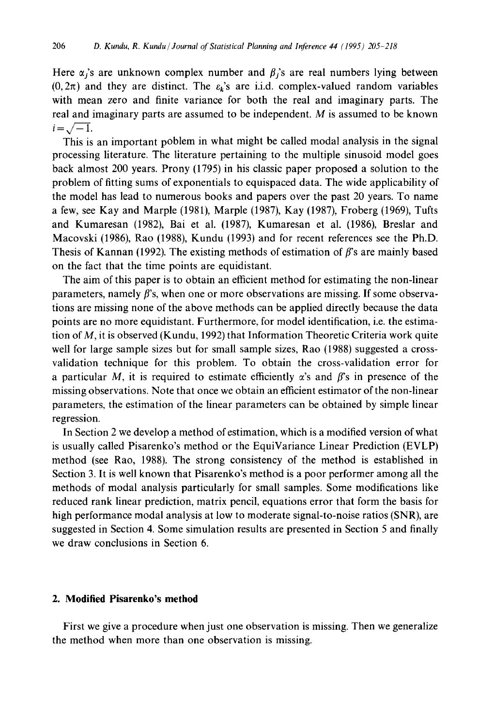Here  $\alpha_i$ 's are unknown complex number and  $\beta_i$ 's are real numbers lying between  $(0,2\pi)$  and they are distinct. The  $\varepsilon_k$ 's are i.i.d. complex-valued random variables with mean zero and finite variance for both the real and imaginary parts. The real and imaginary parts are assumed to be independent. M is assumed to be known  $i = \sqrt{-1}$ .

This is an important poblem in what might be called modal analysis in the signal processing literature. The literature pertaining to the multiple sinusoid model goes back almost 200 years. Prony (1795) in his classic paper proposed a solution to the problem of fitting sums of exponentials to equispaced data. The wide applicability of the model has lead to numerous books and papers over the past 20 years. To name a few, see Kay and Marple (1981), Marple (1987), Kay (1987), Froberg (1969), Tufts and Kumaresan (1982), Bai et al. (1987), Kumaresan et al. (1986), Breslar and Macovski (1986), Rao (1988), Kundu (1993) and for recent references see the Ph.D. Thesis of Kannan (1992). The existing methods of estimation of  $\beta$ 's are mainly based on the fact that the time points are equidistant.

The aim of this paper is to obtain an efficient method for estimating the non-linear parameters, namely  $\beta$ 's, when one or more observations are missing. If some observations are missing none of the above methods can be applied directly because the data points are no more equidistant. Furthermore, for model identification, i.e. the estimation of M, it is observed (Kundu, 1992) that Information Theoretic Criteria work quite well for large sample sizes but for small sample sizes, Rao (1988) suggested a crossvalidation technique for this problem. To obtain the cross-validation error for a particular M, it is required to estimate efficiently  $\alpha$ 's and  $\beta$ 's in presence of the missing observations. Note that once we obtain an efficient estimator of the non-linear parameters, the estimation of the linear parameters can be obtained by simple linear regression.

In Section 2 we develop a method of estimation, which is a modified version of what is usually called Pisarenko's method or the EquiVariance Linear Prediction (EVLP) method (see Rao, 1988). The strong consistency of the method is established in Section 3. It is well known that Pisarenko's method is a poor performer among all the methods of modal analysis particularly for small samples. Some modifications like reduced rank linear prediction, matrix pencil, equations error that form the basis for high performance modal analysis at low to moderate signal-to-noise ratios (SNR), are suggested in Section 4. Some simulation results are presented in Section 5 and finally we draw conclusions in Section 6.

# **2. Modified Pisarenko's method**

First we give a procedure when just one observation is missing. Then we generalize the method when more than one observation is missing.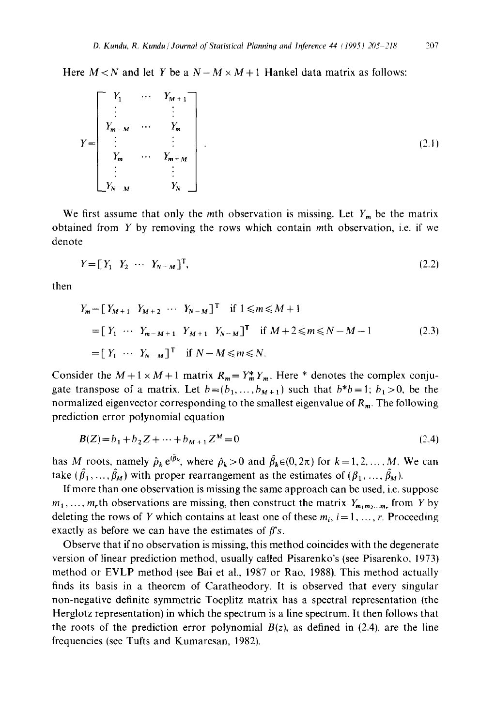Here  $M < N$  and let Y be a  $N-M \times M+1$  Hankel data matrix as follows:

$$
Y = \begin{bmatrix} Y_1 & \cdots & Y_{M+1} \\ \vdots & & \vdots \\ Y_{m-M} & \cdots & Y_m \\ \vdots & & \vdots \\ Y_m & \cdots & Y_{m+M} \\ \vdots & & \vdots \\ Y_{N-M} & & Y_N \end{bmatrix} .
$$
 (2.1)

We first assume that only the mth observation is missing. Let  $Y_m$  be the matrix obtained from  $Y$  by removing the rows which contain mth observation, i.e. if we denote

$$
Y = \begin{bmatrix} Y_1 & Y_2 & \cdots & Y_{N-M} \end{bmatrix}^T,\tag{2.2}
$$

then

$$
Y_m = [Y_{M+1} \ Y_{M+2} \cdots Y_{N-M}]^{\text{T}} \text{ if } 1 \leq m \leq M+1
$$
  
\n
$$
= [Y_1 \cdots Y_{m-M+1} \ Y_{M+1} \ Y_{N-M}]^{\text{T}} \text{ if } M+2 \leq m \leq N-M-1
$$
  
\n
$$
= [Y_1 \cdots Y_{N-M}]^{\text{T}} \text{ if } N-M \leq m \leq N.
$$
 (2.3)

Consider the  $M + 1 \times M + 1$  matrix  $R_m = Y_m^* Y_m$ . Here \* denotes the complex conjugate transpose of a matrix. Let  $b=(b_1, \ldots, b_{M+1})$  such that  $b*b=1$ ;  $b_1>0$ , be the normalized eigenvector corresponding to the smallest eigenvalue of  $R_m$ . The following prediction error polynomial equation

$$
B(Z) = b_1 + b_2 Z + \dots + b_{M+1} Z^M = 0
$$
\n(2.4)

has M roots, namely  $\hat{\rho}_k e^{i\hat{\beta}_k}$ , where  $\hat{\rho}_k > 0$  and  $\hat{\beta}_k \in (0, 2\pi)$  for  $k = 1, 2, ..., M$ . We can take  $(\hat{\beta}_1, \ldots, \hat{\beta}_M)$  with proper rearrangement as the estimates of  $(\beta_1, \ldots, \hat{\beta}_M)$ .

If more than one observation is missing the same approach can be used, i.e. suppose  $m_1, \ldots, m_r$ th observations are missing, then construct the matrix  $Y_{m_1m_2\ldots m_r}$  from Y by deleting the rows of Y which contains at least one of these  $m_i$ ,  $i=1, \ldots, r$ . Proceeding exactly as before we can have the estimates of  $\beta$ 's.

Observe that if no observation is missing, this method coincides with the degenerate version of linear prediction method, usually called Pisarenko's (see Pisarenko, 1973) method or EVLP method (see Bai et al., 1987 or Rao, 1988). This method actually finds its basis in a theorem of Caratheodory. It is observed that every singular non-negative definite symmetric Toeplitz matrix has a spectral representation (the Herglotz representation) in which the spectrum is a line spectrum. It then follows that the roots of the prediction error polynomial  $B(z)$ , as defined in (2.4), are the line frequencies (see Tufts and Kumaresan, 1982).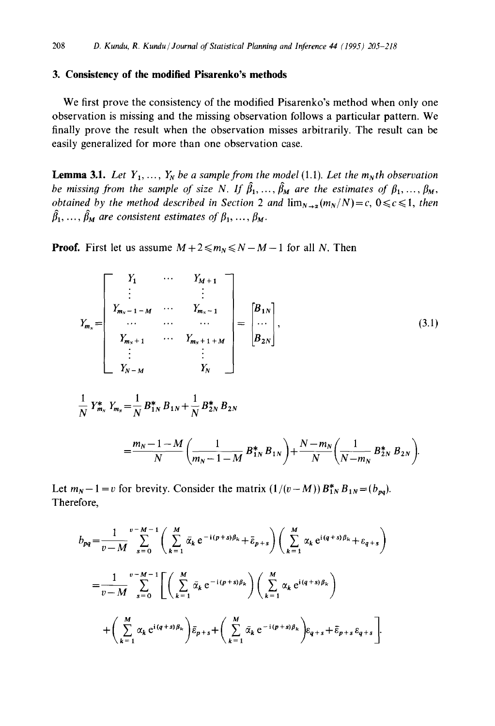### **3. Consistency of the modified Pisarenko's methods**

We first prove the consistency of the modified Pisarenko's method when only one observation is missing and the missing observation follows a particular pattern. We finally prove the result when the observation misses arbitrarily. The result can be easily generalized for more than one observation case.

**Lemma 3.1.** *Let*  $Y_1, \ldots, Y_N$  *be a sample from the model* (1.1). *Let the m<sub>N</sub>th observation be missing from the sample of size N. If*  $\hat{\beta}_1, \ldots, \hat{\beta}_M$  *are the estimates of*  $\beta_1, \ldots, \beta_M$ , *obtained by the method described in Section 2 and*  $\lim_{N\to\infty}(m_N/N)=c, 0\leq c\leq 1$ , then  $\hat{\beta}_1, \ldots, \hat{\beta}_M$  are consistent estimates of  $\beta_1, \ldots, \beta_M$ .

**Proof.** First let us assume  $M + 2 \le m_N \le N - M - 1$  for all N. Then

$$
Y_{m_N} = \begin{bmatrix} Y_1 & \cdots & Y_{M+1} \\ \vdots & & \vdots \\ Y_{m_N-1-M} & \cdots & Y_{m_N-1} \\ \cdots & \cdots & & \cdots \\ Y_{m_N+1} & \cdots & Y_{m_N+1+M} \\ \vdots & & \vdots \\ Y_{N-M} & & Y_N \end{bmatrix} = \begin{bmatrix} B_{1N} \\ \cdots \\ B_{2N} \end{bmatrix},
$$
(3.1)

$$
\frac{1}{N} Y_{m_N}^* Y_{m_N} = \frac{1}{N} B_{1N}^* B_{1N} + \frac{1}{N} B_{2N}^* B_{2N}
$$

$$
=\frac{m_N-1-M}{N}\left(\frac{1}{m_N-1-M}B_{1N}^*B_{1N}\right)+\frac{N-m_N}{N}\left(\frac{1}{N-m_N}B_{2N}^*B_{2N}\right).
$$

Let  $m_N - 1 = v$  for brevity. Consider the matrix  $(1/(v-M)) B_{1N}^* B_{1N} = (b_{pq}).$ Therefore,

$$
b_{pq} = \frac{1}{v - M} \sum_{s=0}^{v - M - 1} \left( \sum_{k=1}^{M} \bar{\alpha}_k e^{-i(p+s)\beta_k} + \bar{\epsilon}_{p+s} \right) \left( \sum_{k=1}^{M} \alpha_k e^{i(q+s)\beta_k} + \epsilon_{q+s} \right)
$$
  

$$
= \frac{1}{v - M} \sum_{s=0}^{v - M - 1} \left[ \left( \sum_{k=1}^{M} \bar{\alpha}_k e^{-i(p+s)\beta_k} \right) \left( \sum_{k=1}^{M} \alpha_k e^{i(q+s)\beta_k} \right) + \left( \sum_{k=1}^{M} \alpha_k e^{i(q+s)\beta_k} \right) \bar{\epsilon}_{p+s} + \left( \sum_{k=1}^{M} \bar{\alpha}_k e^{-i(p+s)\beta_k} \right) \epsilon_{q+s} + \bar{\epsilon}_{p+s} \epsilon_{q+s} \right].
$$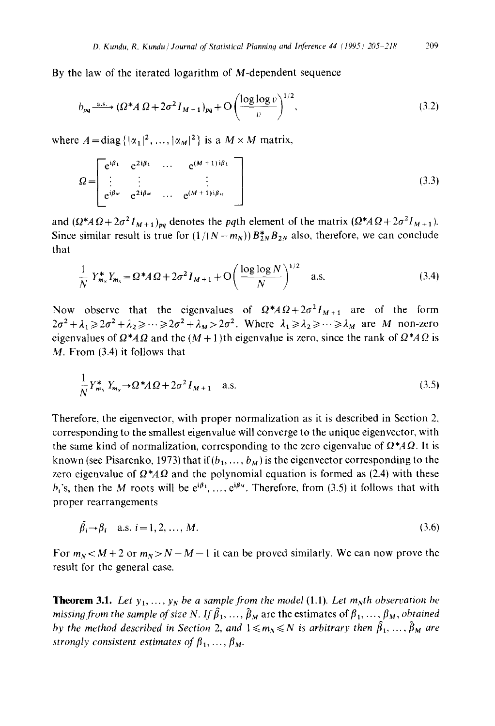By the law of the iterated logarithm of M-dependent sequence

$$
b_{pq} \xrightarrow{a.s.} (\Omega^* A \Omega + 2\sigma^2 I_{M+1})_{pq} + O\left(\frac{\log \log v}{v}\right)^{1/2},\tag{3.2}
$$

where  $A = \text{diag} \{|\alpha_1|^2, ..., |\alpha_M|^2\}$  is a  $M \times M$  matrix,

$$
\Omega = \begin{bmatrix} e^{i\beta_1} & e^{2i\beta_1} & \cdots & e^{(M+1)i\beta_1} \\ \vdots & \vdots & & \vdots \\ e^{i\beta_M} & e^{2i\beta_M} & \cdots & e^{(M+1)i\beta_M} \end{bmatrix}
$$
\n(3.3)

and  $(\Omega^* A \Omega + 2\sigma^2 I_{M+1})_{pq}$  denotes the *pq*th element of the matrix  $(\Omega^* A \Omega + 2\sigma^2 I_{M+1})$ . Since similar result is true for  $(1/(N-m_N))B_{2N}^*B_{2N}$  also, therefore, we can conclude that

$$
\frac{1}{N} Y_{m_N}^* Y_{m_N} = \Omega^* A \Omega + 2\sigma^2 I_{M+1} + O\left(\frac{\log \log N}{N}\right)^{1/2} \quad \text{a.s.}
$$
\n(3.4)

Now observe that the eigenvalues of  $\Omega^* A \Omega + 2\sigma^2 I_{M+1}$  are of the form  $2\sigma^2+\lambda_1\geq 2\sigma^2+\lambda_2\geq \cdots\geq 2\sigma^2+\lambda_M>2\sigma^2$ . Where  $\lambda_1\geq \lambda_2\geq \cdots\geq \lambda_M$  are M non-zero eigenvalues of  $\Omega^* A \Omega$  and the  $(M + 1)$ th eigenvalue is zero, since the rank of  $\Omega^* A \Omega$  is M. From (3.4) it follows that

$$
\frac{1}{N}Y_{m_N}^* Y_{m_N} \to \Omega^* A \Omega + 2\sigma^2 I_{M+1} \quad \text{a.s.} \tag{3.5}
$$

Therefore, the eigenvector, with proper normalization as it is described in Section 2, corresponding to the smallest eigenvalue will converge to the unique eigenvector, with the same kind of normalization, corresponding to the zero eigenvalue of  $\Omega^* A \Omega$ . It is known (see Pisarenko, 1973) that if  $(b_1, ..., b_M)$  is the eigenvector corresponding to the zero eigenvalue of  $\Omega^* A \Omega$  and the polynomial equation is formed as (2.4) with these  $h_i$ 's, then the M roots will be  $e^{i\beta_1}, \ldots, e^{i\beta_N}$ . Therefore, from (3.5) it follows that with proper rearrangements

$$
\hat{\beta}_i \rightarrow \beta_i \quad \text{a.s. } i = 1, 2, \dots, M. \tag{3.6}
$$

For  $m_N < M + 2$  or  $m_N > N - M - 1$  it can be proved similarly. We can now prove the result for the general case.

**Theorem 3.1.** Let  $y_1, \ldots, y_N$  be a sample from the model (1.1). Let  $m_N$ th observation be *missing from the sample of size N. If*  $\hat{\beta}_1, \ldots, \hat{\beta}_M$  are the estimates of  $\beta_1, \ldots, \beta_M$ , obtained *by the method described in Section 2, and*  $1 \le m_N \le N$  *is arbitrary then*  $\hat{\beta}_1, \ldots, \hat{\beta}_M$  *are strongly consistent estimates of*  $\beta_1, \ldots, \beta_M$ .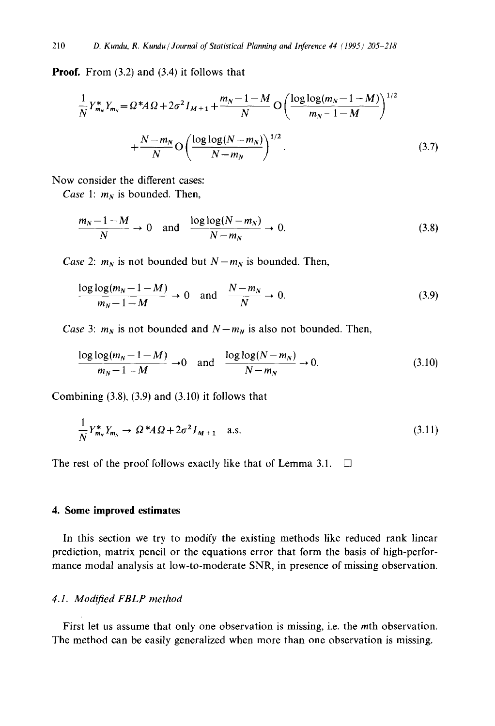Proof. From (3.2) and (3.4) it follows that

$$
\frac{1}{N} Y_{m_N}^* Y_{m_N} = \Omega^* A \Omega + 2\sigma^2 I_{M+1} + \frac{m_N - 1 - M}{N} O\left(\frac{\log \log (m_N - 1 - M)}{m_N - 1 - M}\right)^{1/2} + \frac{N - m_N}{N} O\left(\frac{\log \log (N - m_N)}{N - m_N}\right)^{1/2}.
$$
\n(3.7)

Now consider the different cases:

*Case 1:*  $m_N$  is bounded. Then,

$$
\frac{m_N - 1 - M}{N} \to 0 \quad \text{and} \quad \frac{\log \log (N - m_N)}{N - m_N} \to 0. \tag{3.8}
$$

*Case 2:*  $m_N$  is not bounded but  $N - m_N$  is bounded. Then,

$$
\frac{\log \log (m_N - 1 - M)}{m_N - 1 - M} \to 0 \quad \text{and} \quad \frac{N - m_N}{N} \to 0. \tag{3.9}
$$

*Case* 3:  $m_N$  is not bounded and  $N - m_N$  is also not bounded. Then,

$$
\frac{\log \log (m_N - 1 - M)}{m_N - 1 - M} \to 0 \quad \text{and} \quad \frac{\log \log (N - m_N)}{N - m_N} \to 0. \tag{3.10}
$$

Combining  $(3.8)$ ,  $(3.9)$  and  $(3.10)$  it follows that

$$
\frac{1}{N}Y_{m_N}^*Y_{m_N} \to \Omega^* A \Omega + 2\sigma^2 I_{M+1} \quad \text{a.s.} \tag{3.11}
$$

The rest of the proof follows exactly like that of Lemma 3.1.  $\Box$ 

# **4. Some improved estimates**

In this section we try to modify the existing methods like reduced rank linear prediction, matrix pencil or the equations error that form the basis of high-performance modal analysis at low-to-moderate SNR, in presence of missing observation.

# *4.1. Modified FBLP method*

First let us assume that only one observation is missing, i.e. the *m*th observation. The method can be easily generalized when more than one observation is missing.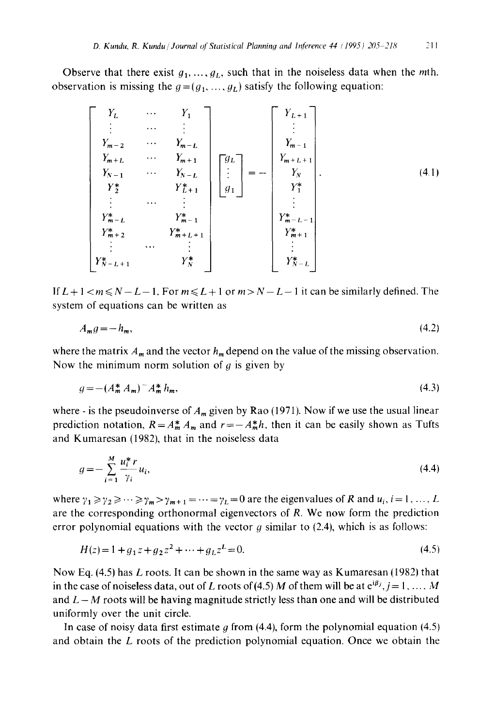Observe that there exist  $g_1, \ldots, g_L$ , such that in the noiseless data when the mth. observation is missing the  $g = (g_1, ..., g_L)$  satisfy the following equation:

$$
\begin{bmatrix}\nY_L & \cdots & Y_1 \\
\vdots & \cdots & \vdots \\
Y_{m-2} & \cdots & Y_{m-L} \\
Y_{N+1} & \cdots & Y_{N+1} \\
Y_2 & Y_2^* & Y_{L+1}^* \\
\vdots & \cdots & \vdots \\
Y_{m+2}^* & Y_{m+1}^* & Y_{m-1}^* \\
Y_{m+2} & Y_{m+1}^* & Y_{m+1}^* \\
\vdots & \cdots & \vdots \\
Y_{N}^* & Y_{N+1}^* & Y_{N}^* & Y_{N+1}^* \\
\vdots & \cdots & \vdots \\
Y_{N}^* & Y_{N}^* & Y_{N}^* & Y_{N}^* & Y_{N}^* \\
Y_{N-L+1}^* & Y_N^* & Y_N^* & Y_{N-L}^* & Y_{N-L}^* \\
Y_{N-L+1}^* & Y_N^* & Y_{N}^* & Y_{N}^* & Y_{N}^* & Y_{N}^* \\
\end{bmatrix}
$$
\n(4.1)

If  $L+1 < m \le N-L-1$ . For  $m \le L+1$  or  $m > N-L-1$  it can be similarly defined. The system of equations can be written as

$$
A_m g = -h_m,\tag{4.2}
$$

where the matrix  $A_m$  and the vector  $h_m$  depend on the value of the missing observation. Now the minimum norm solution of  $q$  is given by

$$
g = -(A_m^* A_m)^{-1} A_m^* h_m,
$$
\n(4.3)

where - is the pseudoinverse of  $A_m$  given by Rao (1971). Now if we use the usual linear prediction notation,  $R = A_m^* A_m$  and  $r = -A_m^* h$ , then it can be easily shown as Tufts and Kumaresan (1982), that in the noiseless data

$$
g = -\sum_{i=1}^{M} \frac{u_i^* r}{\gamma_i} u_i,
$$
\n
$$
(4.4)
$$

where  $\gamma_1 \ge \gamma_2 \ge \cdots \ge \gamma_m > \gamma_{m+1} = \cdots = \gamma_L = 0$  are the eigenvalues of R and  $u_i$ ,  $i = 1, \ldots, L$ are the corresponding orthonormal eigenvectors of R. We now form the prediction error polynomial equations with the vector  $g$  similar to (2.4), which is as follows:

$$
H(z) = 1 + g_1 z + g_2 z^2 + \dots + g_L z^L = 0.
$$
\n(4.5)

Now Eq.  $(4.5)$  has L roots. It can be shown in the same way as Kumaresan (1982) that in the case of noiseless data, out of L roots of (4.5) M of them will be at  $e^{i\beta_j}, j = 1, ..., M$ and  $L-M$  roots will be having magnitude strictly less than one and will be distributed uniformly over the unit circle.

In case of noisy data first estimate  $g$  from (4.4), form the polynomial equation (4.5) and obtain the  $L$  roots of the prediction polynomial equation. Once we obtain the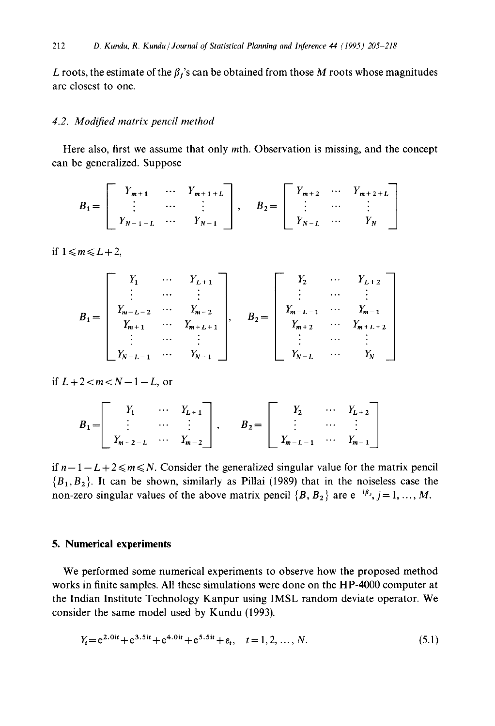L roots, the estimate of the  $\beta_i$ 's can be obtained from those M roots whose magnitudes are closest to one.

#### *4.2. Modified matrix pencil method*

Here also, first we assume that only mth. Observation is missing, and the concept can be generalized. Suppose

$$
B_{1} = \begin{bmatrix} Y_{m+1} & \cdots & Y_{m+1+L} \\ \vdots & \cdots & \vdots \\ Y_{N-1-L} & \cdots & Y_{N-1} \end{bmatrix}, \quad B_{2} = \begin{bmatrix} Y_{m+2} & \cdots & Y_{m+2+L} \\ \vdots & \cdots & \vdots \\ Y_{N-L} & \cdots & Y_{N} \end{bmatrix}
$$

if  $1 \le m \le L+2$ .

$$
B_{1} = \begin{bmatrix} Y_{1} & \cdots & Y_{L+1} \\ \vdots & \cdots & \vdots \\ Y_{m-L-2} & \cdots & Y_{m-2} \\ Y_{m+1} & \cdots & Y_{m+L+1} \\ \vdots & \cdots & \vdots \\ Y_{N-L-1} & \cdots & Y_{N-1} \end{bmatrix}, \quad B_{2} = \begin{bmatrix} Y_{2} & \cdots & Y_{L+2} \\ \vdots & \cdots & \vdots \\ Y_{m-L-1} & \cdots & Y_{m-1} \\ Y_{m+2} & \cdots & Y_{m+L+2} \\ \vdots & \cdots & \vdots \\ Y_{N-L} & \cdots & Y_{N} \end{bmatrix}
$$

*if*  $L+2 < m < N-1-L$ , or

$$
B_1 = \begin{bmatrix} Y_1 & \cdots & Y_{L+1} \\ \vdots & \cdots & \vdots \\ Y_{m-2-L} & \cdots & Y_{m-2} \end{bmatrix}, \qquad B_2 = \begin{bmatrix} Y_2 & \cdots & Y_{L+2} \\ \vdots & \cdots & \vdots \\ Y_{m-L-1} & \cdots & Y_{m-1} \end{bmatrix}
$$

if  $n-1-L+2 \le m \le N$ . Consider the generalized singular value for the matrix pencil  ${B_1, B_2}$ . It can be shown, similarly as Pillai (1989) that in the noiseless case the non-zero singular values of the above matrix pencil  $\{B, B_2\}$  are  $e^{-i\beta j}$ ,  $j = 1, ..., M$ .

### **5. Numerical experiments**

We performed some numerical experiments to observe how the proposed method works in finite samples. All these simulations were done on the HP-4000 computer at the Indian Institute Technology Kanpur using IMSL random deviate operator. We consider the same model used by Kundu (1993).

$$
Y_t = e^{2.0it} + e^{3.5it} + e^{4.0it} + e^{5.5it} + \varepsilon_t, \quad t = 1, 2, ..., N.
$$
 (5.1)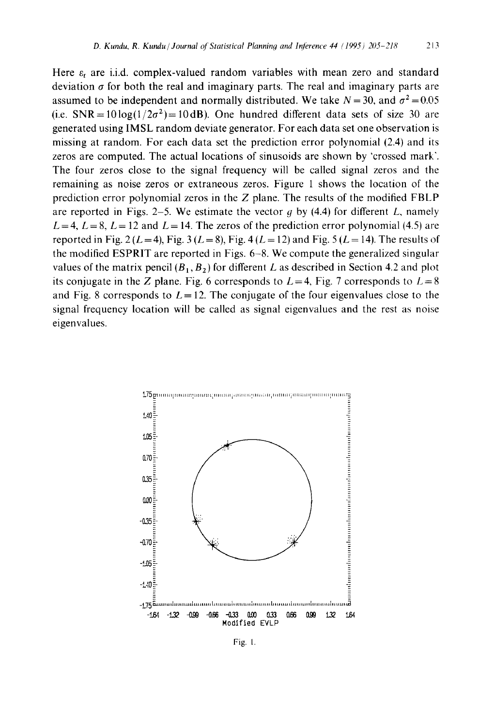Here  $\varepsilon$ , are i.i.d. complex-valued random variables with mean zero and standard deviation  $\sigma$  for both the real and imaginary parts. The real and imaginary parts are assumed to be independent and normally distributed. We take  $N = 30$ , and  $\sigma^2 = 0.05$ (i.e.  $SNR = 10 \log(1/2\sigma^2) = 10 dB$ ). One hundred different data sets of size 30 are generated using IMSL random deviate generator. For each data set one observation is missing at random. For each data set the prediction error polynomial (2.4) and its zeros are computed. The actual locations of sinusoids are shown by 'crossed mark'. The four zeros close to the signal frequency will be called signal zeros and the remaining as noise zeros or extraneous zeros. Figure 1 shows the location of the prediction error polynomial zeros in the  $Z$  plane. The results of the modified FBLP are reported in Figs. 2–5. We estimate the vector  $q$  by (4.4) for different L, namely  $L = 4$ ,  $L = 8$ ,  $L = 12$  and  $L = 14$ . The zeros of the prediction error polynomial (4.5) are reported in Fig. 2 ( $L = 4$ ), Fig. 3 ( $L = 8$ ), Fig. 4 ( $L = 12$ ) and Fig. 5 ( $L = 14$ ). The results of the modified ESPRIT are reported in Figs. 6-8. We compute the generalized singular values of the matrix pencil  $(B_1, B_2)$  for different L as described in Section 4.2 and plot its conjugate in the Z plane. Fig. 6 corresponds to  $L=4$ , Fig. 7 corresponds to  $L=8$ and Fig. 8 corresponds to  $L = 12$ . The conjugate of the four eigenvalues close to the signal frequency location will be called as signal eigenvalues and the rest as noise eigenvalues.



Fig. 1.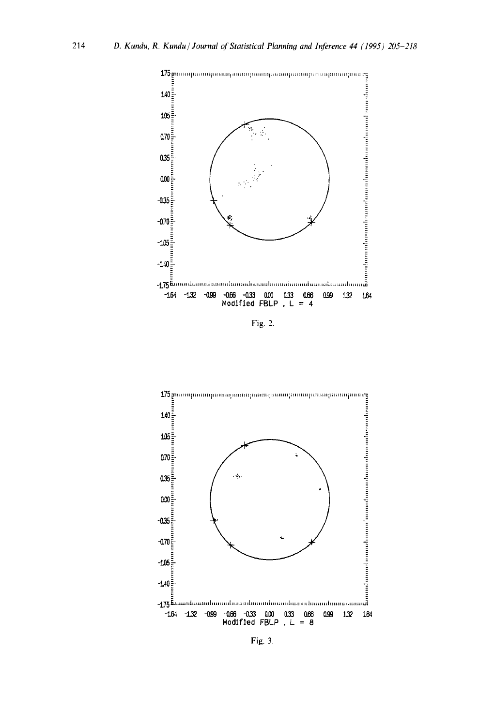214



Fig. 2.



Fig. 3.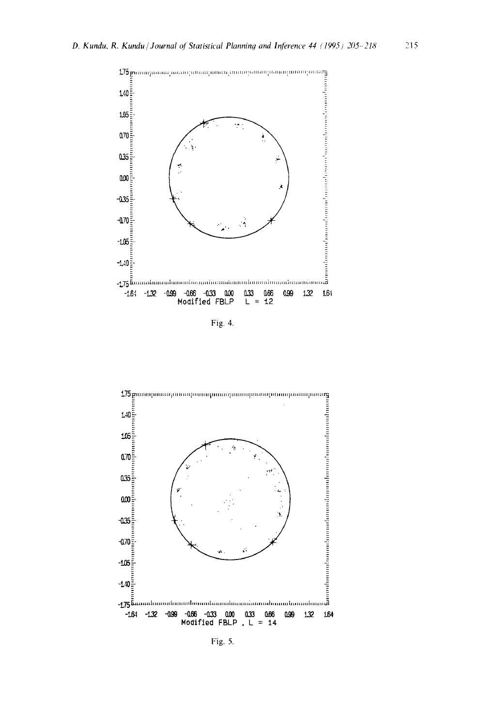

Fig. 4.



Fig. 5.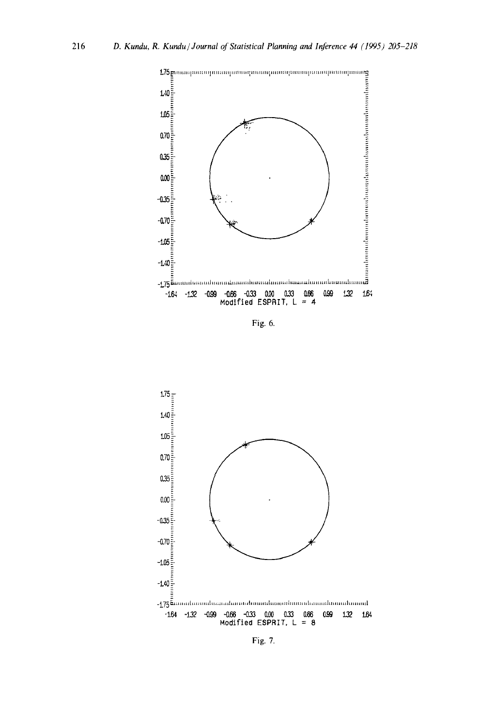

Fig. 6.



Fig. 7.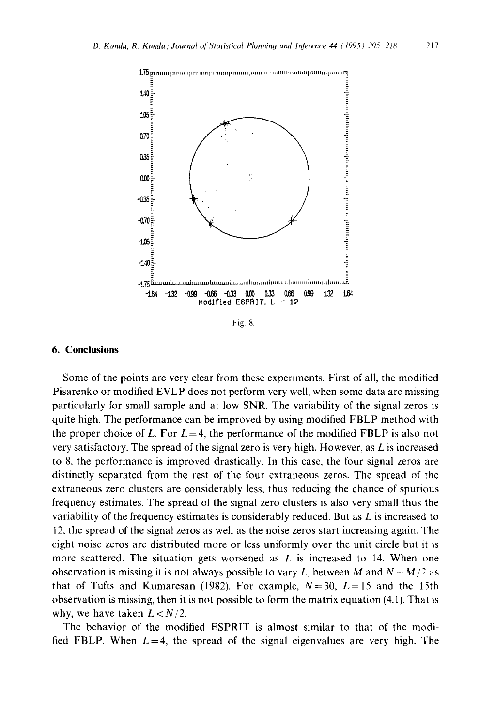

Fig. 8.

## **6. Conclusions**

**Some of the points are very clear from these experiments. First of all, the modified Pisarenko or modified EVLP does not perform very well, when some data are missing particularly for small sample and at low SNR. The variability of the signal zeros is quite high. The performance can be improved by using modified FBLP method with**  the proper choice of L. For  $L = 4$ , the performance of the modified FBLP is also not **very satisfactory. The spread of the signal zero is very high. However, as L is increased to 8, the performance is improved drastically. In this case, the four signal zeros are distinctly separated from the rest of the four extraneous zeros. The spread of the extraneous zero clusters are considerably less, thus reducing the chance of spurious frequency estimates. The spread of the signal zero clusters is also very small thus the variability of the frequency estimates is considerably reduced. But as L is increased to 12, the spread of the signal zeros as well as the noise zeros start increasing again. The eight noise zeros are distributed more or less uniformly over the unit circle but it is more scattered. The situation gets worsened as L is increased to 14. When one**  observation is missing it is not always possible to vary L, between M and  $N - M/2$  as that of Tufts and Kumaresan (1982). For example,  $N=30$ ,  $L=15$  and the 15th **observation is missing, then it is not possible to form the matrix equation (4.1). That is**  why, we have taken  $L < N/2$ .

**The behavior of the modified ESPRIT is almost similar to that of the modi**fied FBLP. When  $L=4$ , the spread of the signal eigenvalues are very high. The